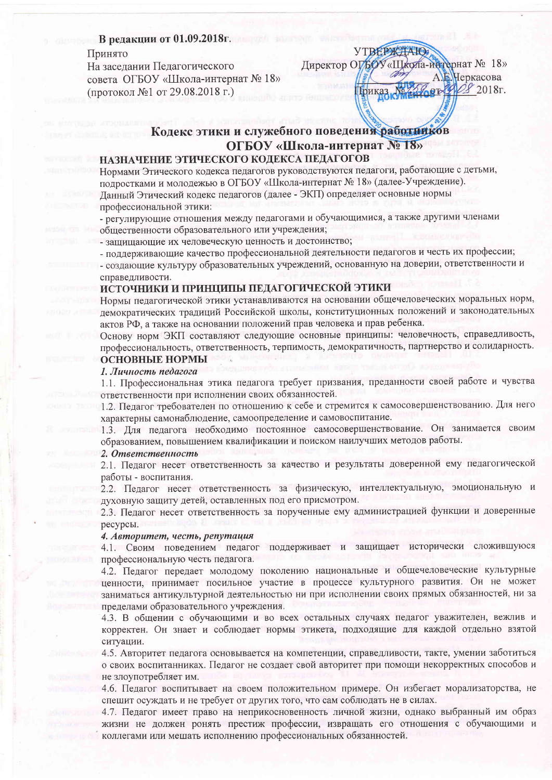## В редакции от 01.09.2018г.

Принято

На заседании Педагогического совета ОГБОУ «Школа-интернат № 18» (протокол №1 от 29.08.2018 г.)

# Кодекс этики и служебного поведения работников ОГБОУ «Школа-интернат № 18»

**YTBEPKTAIO** 

Гриказ №

Директор ОГБОУ «Школа-интернат № 18»

 $29.00$ 

Неркасова

 $2018r$ .

## НАЗНАЧЕНИЕ ЭТИЧЕСКОГО КОЛЕКСА ПЕДАГОГОВ

Нормами Этического кодекса педагогов руководствуются педагоги, работающие с детьми, подростками и молодежью в ОГБОУ «Школа-интернат № 18» (далее-Учреждение). Данный Этический кодекс педагогов (далее - ЭКП) определяет основные нормы профессиональной этики:

- регулирующие отношения между педагогами и обучающимися, а также другими членами общественности образовательного или учреждения;

- защищающие их человеческую ценность и достоинство;

- поддерживающие качество профессиональной деятельности педагогов и честь их профессии;

- создающие культуру образовательных учреждений, основанную на доверии, ответственности и справедливости.

#### ИСТОЧНИКИ И ПРИНЦИПЫ ПЕДАГОГИЧЕСКОЙ ЭТИКИ

Нормы педагогической этики устанавливаются на основании общечеловеческих моральных норм, демократических традиций Российской школы, конституционных положений и законодательных актов РФ, а также на основании положений прав человека и прав ребенка.

Основу норм ЭКП составляют следующие основные принципы: человечность, справедливость, профессиональность, ответственность, терпимость, демократичность, партнерство и солидарность. ОСНОВНЫЕ НОРМЫ

#### 1. Личность педагога

1.1. Профессиональная этика педагога требует призвания, преданности своей работе и чувства ответственности при исполнении своих обязанностей.

1.2. Педагог требователен по отношению к себе и стремится к самосовершенствованию. Для него характерны самонаблюдение, самоопределение и самовоспитание.

1.3. Для педагога необходимо постоянное самосовершенствование. Он занимается своим образованием, повышением квалификации и поиском наилучших методов работы.

#### 2. Ответственность

2.1. Педагог несет ответственность за качество и результаты доверенной ему педагогической работы - воспитания.

2.2. Педагог несет ответственность за физическую, интеллектуальную, эмоциональную и духовную защиту детей, оставленных под его присмотром.

2.3. Педагог несет ответственность за порученные ему администрацией функции и доверенные ресурсы.

#### 4. Авторитет, честь, репутация

4.1. Своим поведением педагог поддерживает и защищает исторически сложившуюся профессиональную честь педагога.

4.2. Педагог передает молодому поколению национальные и общечеловеческие культурные ценности, принимает посильное участие в процессе культурного развития. Он не может заниматься антикультурной деятельностью ни при исполнении своих прямых обязанностей, ни за пределами образовательного учреждения.

4.3. В общении с обучающими и во всех остальных случаях педагог уважителен, вежлив и корректен. Он знает и соблюдает нормы этикета, подходящие для каждой отдельно взятой ситуации.

4.5. Авторитет педагога основывается на компетенции, справедливости, такте, умении заботиться о своих воспитанниках. Педагог не создает свой авторитет при помощи некорректных способов и не злоупотребляет им.

4.6. Педагог воспитывает на своем положительном примере. Он избегает морализаторства, не спешит осуждать и не требует от других того, что сам соблюдать не в силах.

4.7. Педагог имеет право на неприкосновенность личной жизни, однако выбранный им образ жизни не должен ронять престиж профессии, извращать его отношения с обучающими и коллегами или мешать исполнению профессиональных обязанностей.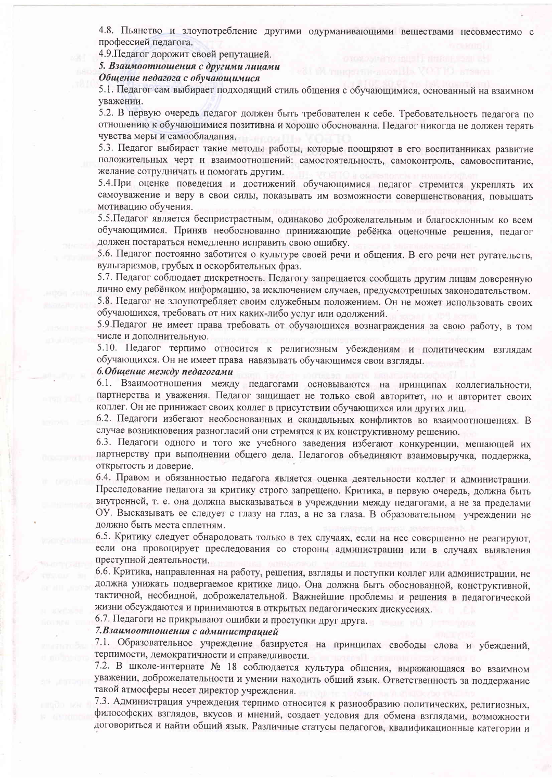4.8. Пьянство и злоупотребление другими одурманивающими веществами несовместимо с профессией педагога.

4.9. Педагог дорожит своей репутацией.

5. Взаимоотношения с другими лицами

Общение педагога с обучающимися

5.1. Педагог сам выбирает подходящий стиль общения с обучающимися, основанный на взаимном уважении.

5.2. В первую очередь педагог должен быть требователен к себе. Требовательность педагога по отношению к обучающимися позитивна и хорошо обоснованна. Педагог никогда не должен терять чувства меры и самообладания.

5.3. Педагог выбирает такие методы работы, которые поощряют в его воспитанниках развитие положительных черт и взаимоотношений: самостоятельность, самоконтроль, самовоспитание, желание сотрудничать и помогать другим.

5.4. При оценке поведения и достижений обучающимися педагог стремится укреплять их самоуважение и веру в свои силы, показывать им возможности совершенствования, повышать мотивацию обучения.

5.5. Педагог является беспристрастным, одинаково доброжелательным и благосклонным ко всем обучающимися. Приняв необоснованно принижающие ребёнка оценочные решения, педагог должен постараться немедленно исправить свою ошибку.

5.6. Педагог постоянно заботится о культуре своей речи и общения. В его речи нет ругательств, вульгаризмов, грубых и оскорбительных фраз.

5.7. Педагог соблюдает дискретность. Педагогу запрещается сообщать другим лицам доверенную лично ему ребёнком информацию, за исключением случаев, предусмотренных законодательством. 5.8. Педагог не злоупотребляет своим служебным положением. Он не может использовать своих обучающихся, требовать от них каких-либо услуг или одолжений.

5.9. Педагог не имеет права требовать от обучающихся вознаграждения за свою работу, в том числе и дополнительную.

5.10. Педагог терпимо относится к религиозным убеждениям и политическим взглядам обучающихся. Он не имеет права навязывать обучающимся свои взгляды.

6. Общение между педагогами

6.1. Взаимоотношения между педагогами основываются на принципах коллегиальности, партнерства и уважения. Педагог защищает не только свой авторитет, но и авторитет своих коллег. Он не принижает своих коллег в присутствии обучающихся или других лиц.

6.2. Педагоги избегают необоснованных и скандальных конфликтов во взаимоотношениях. В случае возникновения разногласий они стремятся к их конструктивному решению.

6.3. Педагоги одного и того же учебного заведения избегают конкуренции, мешающей их партнерству при выполнении общего дела. Педагогов объединяют взаимовыручка, поддержка, открытость и доверие.

6.4. Правом и обязанностью педагога является оценка деятельности коллег и администрации. Преследование педагога за критику строго запрещено. Критика, в первую очередь, должна быть внутренней, т. е. она должна высказываться в учреждении между педагогами, а не за пределами ОУ. Высказывать ее следует с глазу на глаз, а не за глаза. В образовательном учреждении не должно быть места сплетням.

6.5. Критику следует обнародовать только в тех случаях, если на нее совершенно не реагируют, если она провоцирует преследования со стороны администрации или в случаях выявления преступной деятельности.

6.6. Критика, направленная на работу, решения, взгляды и поступки коллег или администрации, не должна унижать подвергаемое критике лицо. Она должна быть обоснованной, конструктивной, тактичной, необидной, доброжелательной. Важнейшие проблемы и решения в педагогической жизни обсуждаются и принимаются в открытых педагогических дискуссиях.

6.7. Педагоги не прикрывают ошибки и проступки друг друга.

7. Взаимоотношения с администрацией

7.1. Образовательное учреждение базируется на принципах свободы слова и убеждений, терпимости, демократичности и справедливости.

7.2. В школе-интернате № 18 соблюдается культура общения, выражающаяся во взаимном уважении, доброжелательности и умении находить общий язык. Ответственность за поддержание такой атмосферы несет директор учреждения.

7.3. Администрация учреждения терпимо относится к разнообразию политических, религиозных, философских взглядов, вкусов и мнений, создает условия для обмена взглядами, возможности договориться и найти общий язык. Различные статусы педагогов, квалификационные категории и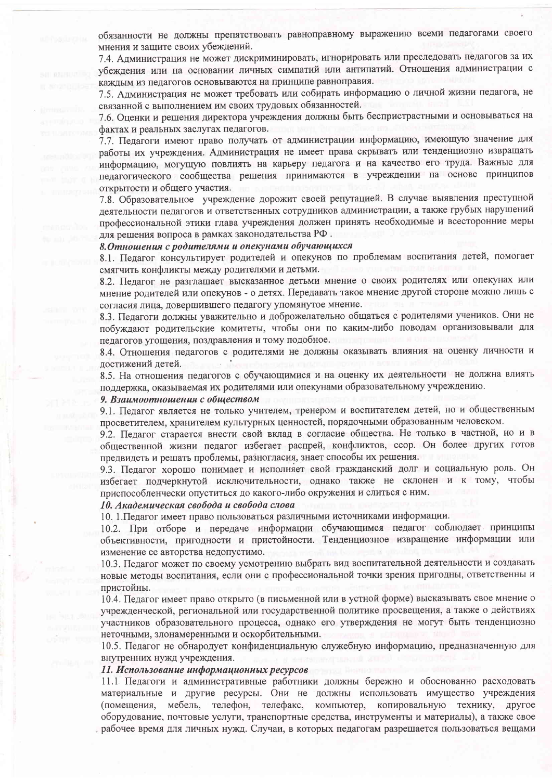обязанности не должны препятствовать равноправному выражению всеми педагогами своего мнения и защите своих убеждений.

7.4. Администрация не может дискриминировать, игнорировать или преследовать педагогов за их убеждения или на основании личных симпатий или антипатий. Отношения администрации с каждым из педагогов основываются на принципе равноправия.

7.5. Администрация не может требовать или собирать информацию о личной жизни педагога, не связанной с выполнением им своих трудовых обязанностей.

7.6. Оценки и решения директора учреждения должны быть беспристрастными и основываться на фактах и реальных заслугах педагогов.

7.7. Педагоги имеют право получать от администрации информацию, имеющую значение для работы их учреждения. Администрация не имеет права скрывать или тенденциозно извращать информацию, могущую повлиять на карьеру педагога и на качество его труда. Важные для педагогического сообщества решения принимаются в учреждении на основе принципов открытости и общего участия.

7.8. Образовательное учреждение дорожит своей репутацией. В случае выявления преступной деятельности педагогов и ответственных сотрудников администрации, а также грубых нарушений профессиональной этики глава учреждения должен принять необходимые и всесторонние меры для решения вопроса в рамках законодательства РФ.

#### 8. Отношения с родителями и опекунами обучающихся

8.1. Педагог консультирует родителей и опекунов по проблемам воспитания детей, помогает смягчить конфликты между родителями и детьми.

8.2. Педагог не разглашает высказанное детьми мнение о своих родителях или опекунах или мнение родителей или опекунов - о детях. Передавать такое мнение другой стороне можно лишь с согласия лица, довершившего педагогу упомянутое мнение.

8.3. Педагоги должны уважительно и доброжелательно общаться с родителями учеников. Они не побуждают родительские комитеты, чтобы они по каким-либо поводам организовывали для педагогов угощения, поздравления и тому подобное.

8.4. Отношения педагогов с родителями не должны оказывать влияния на оценку личности и достижений детей.

8.5. На отношения педагогов с обучающимися и на оценку их деятельности не должна влиять поддержка, оказываемая их родителями или опекунами образовательному учреждению.

#### 9. Взаимоотношения с обществом

9.1. Педагог является не только учителем, тренером и воспитателем детей, но и общественным просветителем, хранителем культурных ценностей, порядочными образованным человеком.

9.2. Педагог старается внести свой вклад в согласие общества. Не только в частной, но и в общественной жизни педагог избегает распрей, конфликтов, ссор. Он более других готов предвидеть и решать проблемы, разногласия, знает способы их решения.

9.3. Педагог хорошо понимает и исполняет свой гражданский долг и социальную роль. Он избегает подчеркнутой исключительности, однако также не склонен и к тому, чтобы приспособленчески опуститься до какого-либо окружения и слиться с ним.

#### 10. Академическая свобода и свобода слова

10. 1. Педагог имеет право пользоваться различными источниками информации.

10.2. При отборе и передаче информации обучающимся педагог соблюдает принципы объективности, пригодности и пристойности. Тенденциозное извращение информации или изменение ее авторства недопустимо.

10.3. Педагог может по своему усмотрению выбрать вид воспитательной деятельности и создавать новые методы воспитания, если они с профессиональной точки зрения пригодны, ответственны и пристойны.

10.4. Педагог имеет право открыто (в письменной или в устной форме) высказывать свое мнение о учрежденческой, региональной или государственной политике просвещения, а также о действиях участников образовательного процесса, однако его утверждения не могут быть тенденциозно неточными, злонамеренными и оскорбительными.

10.5. Педагог не обнародует конфиденциальную служебную информацию, предназначенную для внутренних нужд учреждения.

#### 11. Использование информационных ресурсов

11.1 Педагоги и административные работники должны бережно и обоснованно расходовать материальные и другие ресурсы. Они не должны использовать имущество учреждения (помещения, мебель, телефон, телефакс, компьютер, копировальную технику, другое оборудование, почтовые услуги, транспортные средства, инструменты и материалы), а также свое рабочее время для личных нужд. Случаи, в которых педагогам разрешается пользоваться вещами